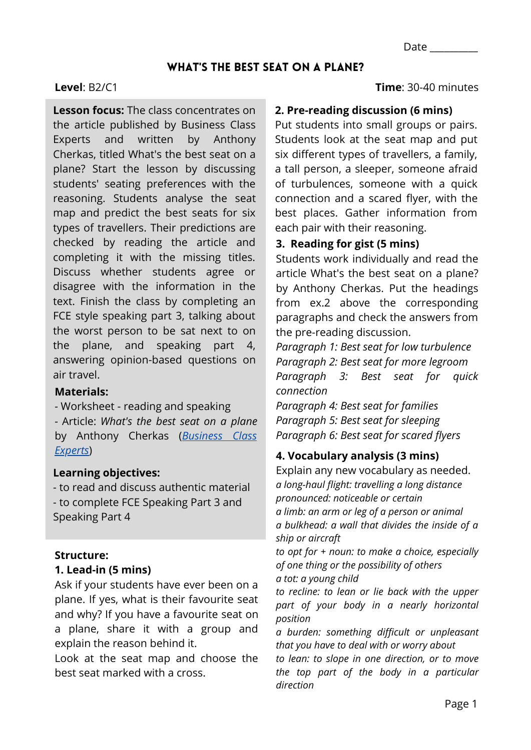## WHAT'S THE BEST SEAT ON A PLANE?

### **Level**: B2/C1

**Lesson focus:** The class concentrates on the article published by Business Class Experts and written by Anthony Cherkas, titled What's the best seat on a plane? Start the lesson by discussing students' seating preferences with the reasoning. Students analyse the seat map and predict the best seats for six types of travellers. Their predictions are checked by reading the article and completing it with the missing titles. Discuss whether students agree or disagree with the information in the text. Finish the class by completing an FCE style speaking part 3, talking about the worst person to be sat next to on the plane, and speaking part 4, answering opinion-based questions on air travel.

#### **Materials:**

*-* Worksheet - reading and speaking *-* Article: *What's the best seat on a plane* [by Anthony Cherkas \(](https://businessclassexperts.com/best-seat-on-a-plane/)*Business Class Experts*)

### **Learning objectives:**

- to read and discuss authentic material - to complete FCE Speaking Part 3 and Speaking Part 4

### **Structure:**

## **1. Lead-in (5 mins)**

Ask if your students have ever been on a plane. If yes, what is their favourite seat and why? If you have a favourite seat on a plane, share it with a group and explain the reason behind it.

Look at the seat map and choose the best seat marked with a cross.

**Time**: 30-40 minutes

#### **2. Pre-reading discussion (6 mins)**

Put students into small groups or pairs. Students look at the seat map and put six different types of travellers, a family, a tall person, a sleeper, someone afraid of turbulences, someone with a quick connection and a scared flyer, with the best places. Gather information from each pair with their reasoning.

### **3. Reading for gist (5 mins)**

Students work individually and read the article What's the best seat on a plane? by Anthony Cherkas. Put the headings from ex.2 above the corresponding paragraphs and check the answers from the pre-reading discussion.

*Paragraph 1: Best seat for low turbulence Paragraph 2: Best seat for more legroom Paragraph 3: Best seat for quick connection*

*Paragraph 4: Best seat for families Paragraph 5: Best seat for sleeping Paragraph 6: Best seat for scared flyers*

### **4. Vocabulary analysis (3 mins)**

Explain any new vocabulary as needed. *a long-haul flight: travelling a long distance pronounced: noticeable or certain a limb: an arm or leg of a person or animal a bulkhead: a wall that divides the inside of a ship or aircraft*

*to opt for + noun: to make a choice, especially of one thing or the possibility of others a tot: a young child*

*to recline: to lean or lie back with the upper part of your body in a nearly horizontal position*

*a burden: something difficult or unpleasant that you have to deal with or worry about*

*to lean: to slope in one direction, or to move the top part of the body in a particular direction*